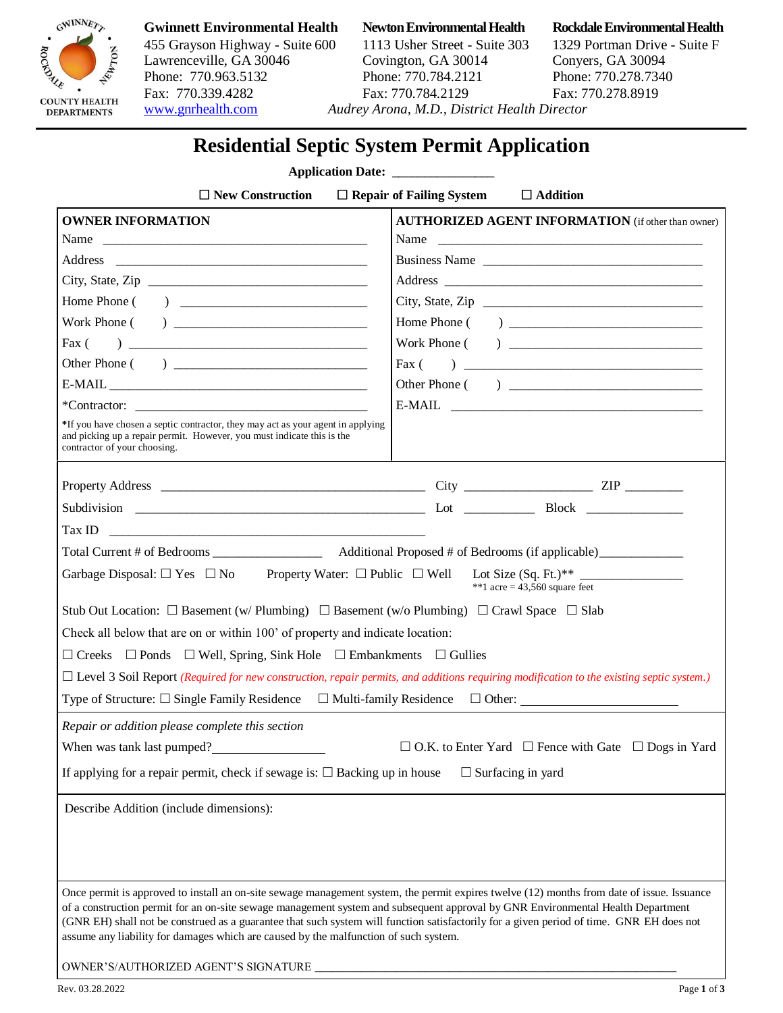

455 Grayson Highway - Suite 600 1113 Usher Street - Suite 303 1329 Portman Drive - Suite F Lawrenceville, GA 30046 Covington, GA 30014 Conyers, GA 30094 Phone: 770.963.5132 Phone: 770.784.2121 Phone: 770.278.7340 Fax: 770.339.4282 Fax: 770.784.2129 Fax: 770.278.8919 [www.gnrhealth.com](http://www.gnrhealth.com/) *Audrey Arona, M.D., District Health Director* 

## **Gwinnett Environmental Health Newton Environmental Health Rockdale Environmental Health**

# **Residential Septic System Permit Application**

### **Application Date:**

| $\Box$ New Construction<br>$\Box$ Repair of Failing System<br>$\Box$ Addition                                                                                                                                                                                                                                                                                                                                                                                                                                     |                                                                                                                            |
|-------------------------------------------------------------------------------------------------------------------------------------------------------------------------------------------------------------------------------------------------------------------------------------------------------------------------------------------------------------------------------------------------------------------------------------------------------------------------------------------------------------------|----------------------------------------------------------------------------------------------------------------------------|
| <b>OWNER INFORMATION</b>                                                                                                                                                                                                                                                                                                                                                                                                                                                                                          | <b>AUTHORIZED AGENT INFORMATION</b> (if other than owner)                                                                  |
|                                                                                                                                                                                                                                                                                                                                                                                                                                                                                                                   | Name                                                                                                                       |
|                                                                                                                                                                                                                                                                                                                                                                                                                                                                                                                   | Business Name                                                                                                              |
| City, State, Zip                                                                                                                                                                                                                                                                                                                                                                                                                                                                                                  |                                                                                                                            |
|                                                                                                                                                                                                                                                                                                                                                                                                                                                                                                                   | City, State, Zip                                                                                                           |
|                                                                                                                                                                                                                                                                                                                                                                                                                                                                                                                   |                                                                                                                            |
|                                                                                                                                                                                                                                                                                                                                                                                                                                                                                                                   |                                                                                                                            |
|                                                                                                                                                                                                                                                                                                                                                                                                                                                                                                                   | Fax (<br>$\begin{tabular}{ c c c c } \hline \quad \quad & \quad \quad & \quad \quad & \quad \quad \\ \hline \end{tabular}$ |
|                                                                                                                                                                                                                                                                                                                                                                                                                                                                                                                   |                                                                                                                            |
|                                                                                                                                                                                                                                                                                                                                                                                                                                                                                                                   |                                                                                                                            |
| *If you have chosen a septic contractor, they may act as your agent in applying<br>and picking up a repair permit. However, you must indicate this is the<br>contractor of your choosing.                                                                                                                                                                                                                                                                                                                         |                                                                                                                            |
|                                                                                                                                                                                                                                                                                                                                                                                                                                                                                                                   |                                                                                                                            |
|                                                                                                                                                                                                                                                                                                                                                                                                                                                                                                                   |                                                                                                                            |
| Tax ID                                                                                                                                                                                                                                                                                                                                                                                                                                                                                                            |                                                                                                                            |
|                                                                                                                                                                                                                                                                                                                                                                                                                                                                                                                   |                                                                                                                            |
| Garbage Disposal: $\Box$ Yes $\Box$ No Property Water: $\Box$ Public $\Box$ Well Lot Size (Sq. Ft.)**<br>**1 acre = $43,560$ square feet                                                                                                                                                                                                                                                                                                                                                                          |                                                                                                                            |
| Stub Out Location: $\Box$ Basement (w/ Plumbing) $\Box$ Basement (w/o Plumbing) $\Box$ Crawl Space $\Box$ Slab                                                                                                                                                                                                                                                                                                                                                                                                    |                                                                                                                            |
| Check all below that are on or within 100' of property and indicate location:                                                                                                                                                                                                                                                                                                                                                                                                                                     |                                                                                                                            |
| $\Box$ Creeks $\Box$ Ponds $\Box$ Well, Spring, Sink Hole $\Box$ Embankments $\Box$ Gullies                                                                                                                                                                                                                                                                                                                                                                                                                       |                                                                                                                            |
| $\Box$ Level 3 Soil Report (Required for new construction, repair permits, and additions requiring modification to the existing septic system.)                                                                                                                                                                                                                                                                                                                                                                   |                                                                                                                            |
| Type of Structure: □ Single Family Residence □ Multi-family Residence □ Other: ____________________                                                                                                                                                                                                                                                                                                                                                                                                               |                                                                                                                            |
|                                                                                                                                                                                                                                                                                                                                                                                                                                                                                                                   |                                                                                                                            |
| Repair or addition please complete this section<br>When was tank last pumped?                                                                                                                                                                                                                                                                                                                                                                                                                                     | $\Box$ O.K. to Enter Yard $\Box$ Fence with Gate $\Box$ Dogs in Yard                                                       |
| $\Box$ Surfacing in yard<br>If applying for a repair permit, check if sewage is: $\Box$ Backing up in house                                                                                                                                                                                                                                                                                                                                                                                                       |                                                                                                                            |
|                                                                                                                                                                                                                                                                                                                                                                                                                                                                                                                   |                                                                                                                            |
| Describe Addition (include dimensions):                                                                                                                                                                                                                                                                                                                                                                                                                                                                           |                                                                                                                            |
| Once permit is approved to install an on-site sewage management system, the permit expires twelve (12) months from date of issue. Issuance<br>of a construction permit for an on-site sewage management system and subsequent approval by GNR Environmental Health Department<br>(GNR EH) shall not be construed as a guarantee that such system will function satisfactorily for a given period of time. GNR EH does not<br>assume any liability for damages which are caused by the malfunction of such system. |                                                                                                                            |

Rev. 03.28.2022 Page **1** of **3**

OWNER'S/AUTHORIZED AGENT'S SIGNATURE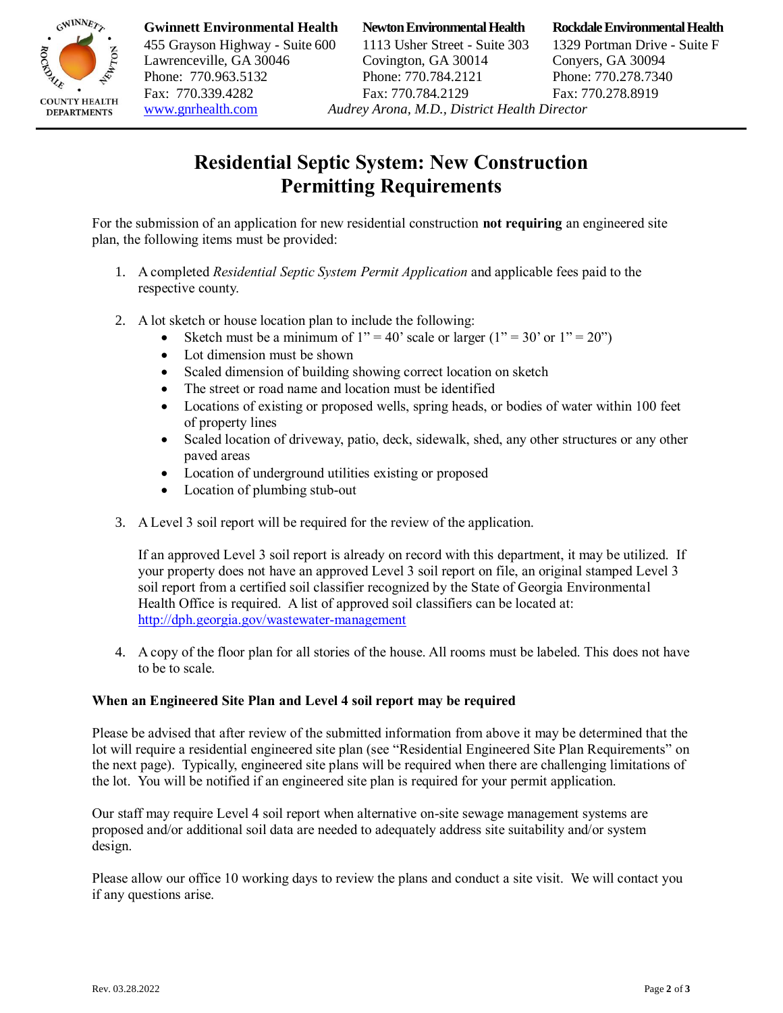

**Gwinnett Environmental Health Newton Environmental Health Rockdale Environmental Health**

455 Grayson Highway - Suite 600 1113 Usher Street - Suite 303 1329 Portman Drive - Suite F Lawrenceville, GA 30046 Covington, GA 30014 Conyers, GA 30094 Phone: 770.963.5132 Phone: 770.784.2121 Phone: 770.278.7340 Fax: 770.339.4282 Fax: 770.784.2129 Fax: 770.278.8919 [www.gnrhealth.com](http://www.gnrhealth.com/) *Audrey Arona, M.D., District Health Director* 

# **Residential Septic System: New Construction Permitting Requirements**

For the submission of an application for new residential construction **not requiring** an engineered site plan, the following items must be provided:

- 1. A completed *Residential Septic System Permit Application* and applicable fees paid to the respective county.
- 2. A lot sketch or house location plan to include the following:
	- Sketch must be a minimum of  $1" = 40'$  scale or larger  $(1" = 30'$  or  $1" = 20"$ )
	- Lot dimension must be shown
	- Scaled dimension of building showing correct location on sketch
	- The street or road name and location must be identified
	- Locations of existing or proposed wells, spring heads, or bodies of water within 100 feet of property lines
	- Scaled location of driveway, patio, deck, sidewalk, shed, any other structures or any other paved areas
	- Location of underground utilities existing or proposed
	- Location of plumbing stub-out
- 3. A Level 3 soil report will be required for the review of the application.

If an approved Level 3 soil report is already on record with this department, it may be utilized. If your property does not have an approved Level 3 soil report on file, an original stamped Level 3 soil report from a certified soil classifier recognized by the State of Georgia Environmental Health Office is required. A list of approved soil classifiers can be located at: <http://dph.georgia.gov/wastewater-management>

4. A copy of the floor plan for all stories of the house. All rooms must be labeled. This does not have to be to scale.

## **When an Engineered Site Plan and Level 4 soil report may be required**

Please be advised that after review of the submitted information from above it may be determined that the lot will require a residential engineered site plan (see "Residential Engineered Site Plan Requirements" on the next page). Typically, engineered site plans will be required when there are challenging limitations of the lot. You will be notified if an engineered site plan is required for your permit application.

Our staff may require Level 4 soil report when alternative on-site sewage management systems are proposed and/or additional soil data are needed to adequately address site suitability and/or system design.

Please allow our office 10 working days to review the plans and conduct a site visit. We will contact you if any questions arise.